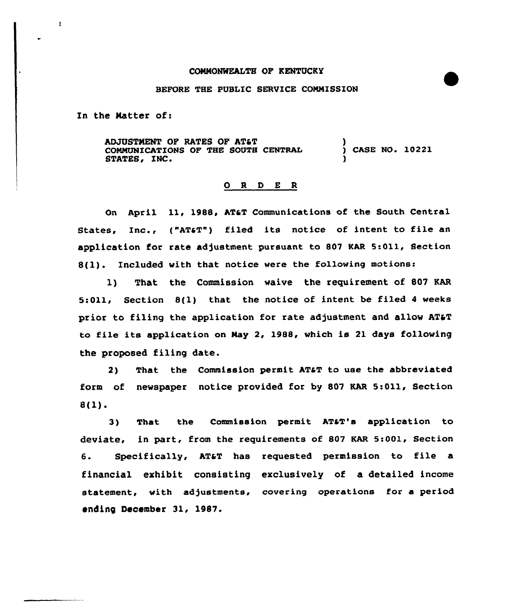## CONNONWEALTH OF KENTUCKY

## BEFORE THE PUBLIC SERVICE CONNISSZON

In the Matter of:

 $\mathfrak{t}$ 

ADJUSTMENT OF RATES OF AT&T CONMUNICATIONS OF THE SOUTH CENTRAL STATES, INC. ) CASE NO. 10221 )

## 0 <sup>R</sup> <sup>D</sup> E <sup>R</sup>

On April 11, 1988, AT&T Communications of the South Central States, Inc., ("AT&T") filed its notice of intent to file an application for rate adjustment pursuant to 807 KAR 5:011, Section 8(1). Included with that notice were the following motions:

1) That the Commission waive the requirement of 807 KAR 5:011, Section 8(1) that the notice of intent be filed 4 weeks prior to filing the application for rate adjustment and allow AT&T to file its application on Nay 2, 1988, which is 21 days following the proposed filing date.

2) That the Commission permit AT&T to use the abbreviated form of newspaper notice provided for by 807 KAR 5:011, Section 8(1).

3) That the Commission permit AT&T's application to deviate, in part, from the requirements of 807 KAR 5:001, Section 6. Specifically, AT&T has requested permission to file a financial exhibit consisting exclusively of a detailed income statement, with adjustments, covering operations for a period ending December 31, 1987.